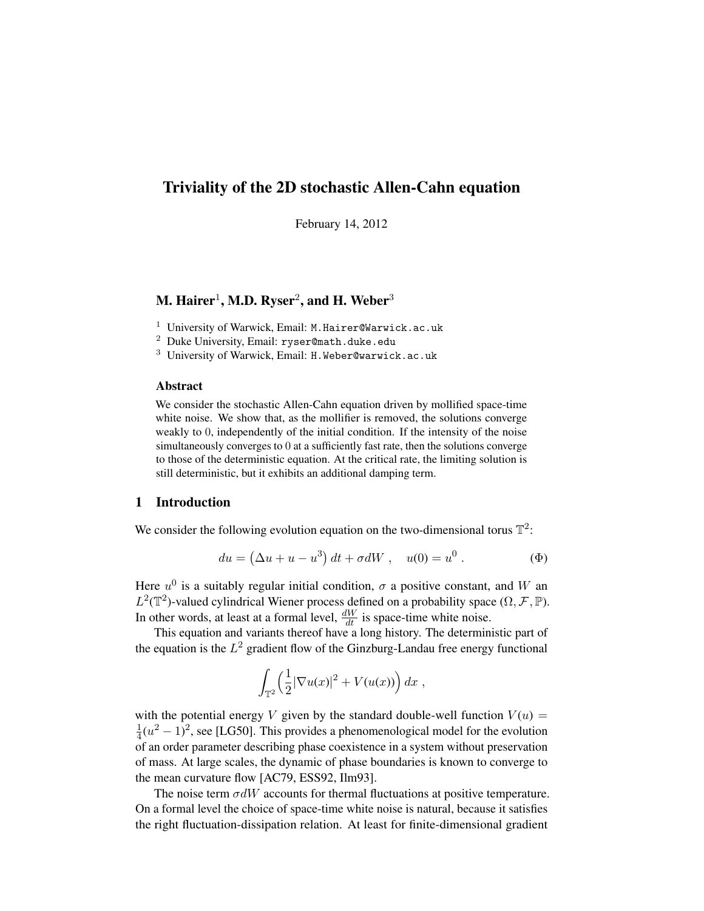# Triviality of the 2D stochastic Allen-Cahn equation

February 14, 2012

# M. Hairer $^1$ , M.D. Ryser $^2$ , and H. Weber $^3$

<sup>1</sup> University of Warwick, Email: M.Hairer@Warwick.ac.uk

<sup>2</sup> Duke University, Email: ryser@math.duke.edu

<sup>3</sup> University of Warwick, Email: H.Weber@warwick.ac.uk

# Abstract

We consider the stochastic Allen-Cahn equation driven by mollified space-time white noise. We show that, as the mollifier is removed, the solutions converge weakly to 0, independently of the initial condition. If the intensity of the noise simultaneously converges to 0 at a sufficiently fast rate, then the solutions converge to those of the deterministic equation. At the critical rate, the limiting solution is still deterministic, but it exhibits an additional damping term.

# 1 Introduction

We consider the following evolution equation on the two-dimensional torus  $\mathbb{T}^2$ :

$$
du = (\Delta u + u - u^3) dt + \sigma dW, \quad u(0) = u^0.
$$
 (Φ)

Here  $u^0$  is a suitably regular initial condition,  $\sigma$  a positive constant, and W an  $L^2(\mathbb{T}^2)$ -valued cylindrical Wiener process defined on a probability space  $(\Omega, \mathcal{F}, \mathbb{P})$ . In other words, at least at a formal level,  $\frac{dW}{dt}$  is space-time white noise.

This equation and variants thereof have a long history. The deterministic part of the equation is the  $L^2$  gradient flow of the Ginzburg-Landau free energy functional

$$
\int_{\mathbb{T}^2} \left(\frac{1}{2}|\nabla u(x)|^2 + V(u(x))\right) dx ,
$$

with the potential energy V given by the standard double-well function  $V(u)$  = 1  $\frac{1}{4}(u^2-1)^2$ , see [LG50]. This provides a phenomenological model for the evolution of an order parameter describing phase coexistence in a system without preservation of mass. At large scales, the dynamic of phase boundaries is known to converge to the mean curvature flow [AC79, ESS92, Ilm93].

The noise term  $\sigma dW$  accounts for thermal fluctuations at positive temperature. On a formal level the choice of space-time white noise is natural, because it satisfies the right fluctuation-dissipation relation. At least for finite-dimensional gradient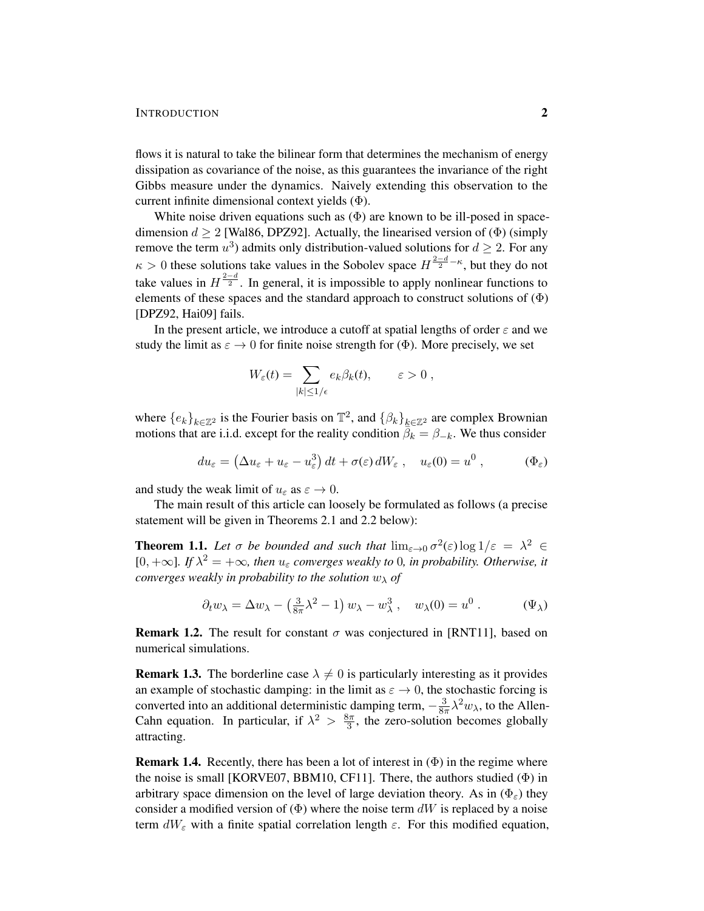### INTRODUCTION 2

flows it is natural to take the bilinear form that determines the mechanism of energy dissipation as covariance of the noise, as this guarantees the invariance of the right Gibbs measure under the dynamics. Naively extending this observation to the current infinite dimensional context yields (Φ).

White noise driven equations such as  $(\Phi)$  are known to be ill-posed in spacedimension  $d \geq 2$  [Wal86, DPZ92]. Actually, the linearised version of ( $\Phi$ ) (simply remove the term  $u^3$ ) admits only distribution-valued solutions for  $d \geq 2$ . For any  $\kappa > 0$  these solutions take values in the Sobolev space  $H^{\frac{2-d}{2}-\kappa}$ , but they do not take values in  $H^{\frac{2-d}{2}}$ . In general, it is impossible to apply nonlinear functions to elements of these spaces and the standard approach to construct solutions of  $(\Phi)$ [DPZ92, Hai09] fails.

In the present article, we introduce a cutoff at spatial lengths of order  $\varepsilon$  and we study the limit as  $\varepsilon \to 0$  for finite noise strength for ( $\Phi$ ). More precisely, we set

$$
W_{\varepsilon}(t) = \sum_{|k| \le 1/\epsilon} e_k \beta_k(t), \qquad \varepsilon > 0,
$$

where  ${e_k}_{k \in \mathbb{Z}^2}$  is the Fourier basis on  $\mathbb{T}^2$ , and  ${ \beta_k}_{k \in \mathbb{Z}^2}$  are complex Brownian motions that are i.i.d. except for the reality condition  $\overline{\beta_k} = \beta_{-k}$ . We thus consider

$$
du_{\varepsilon} = \left(\Delta u_{\varepsilon} + u_{\varepsilon} - u_{\varepsilon}^3\right)dt + \sigma(\varepsilon) dW_{\varepsilon} , \quad u_{\varepsilon}(0) = u^0 , \qquad (\Phi_{\varepsilon})
$$

and study the weak limit of  $u_{\varepsilon}$  as  $\varepsilon \to 0$ .

The main result of this article can loosely be formulated as follows (a precise statement will be given in Theorems 2.1 and 2.2 below):

**Theorem 1.1.** Let  $\sigma$  be bounded and such that  $\lim_{\varepsilon \to 0} \sigma^2(\varepsilon) \log 1/\varepsilon = \lambda^2 \in$ [0,  $+\infty$ ]. If  $\lambda^2 = +\infty$ , then  $u_{\varepsilon}$  converges weakly to 0, in probability. Otherwise, it *converges weakly in probability to the solution* w<sup>λ</sup> *of*

$$
\partial_t w_\lambda = \Delta w_\lambda - \left(\frac{3}{8\pi}\lambda^2 - 1\right)w_\lambda - w_\lambda^3, \quad w_\lambda(0) = u^0. \tag{\Psi_\lambda}
$$

**Remark 1.2.** The result for constant  $\sigma$  was conjectured in [RNT11], based on numerical simulations.

**Remark 1.3.** The borderline case  $\lambda \neq 0$  is particularly interesting as it provides an example of stochastic damping: in the limit as  $\varepsilon \to 0$ , the stochastic forcing is converted into an additional deterministic damping term,  $-\frac{3}{8a}$  $\frac{3}{8\pi}\lambda^2 w_\lambda$ , to the Allen-Cahn equation. In particular, if  $\lambda^2 > \frac{8\pi}{3}$  $\frac{3\pi}{3}$ , the zero-solution becomes globally attracting.

**Remark 1.4.** Recently, there has been a lot of interest in  $(\Phi)$  in the regime where the noise is small [KORVE07, BBM10, CF11]. There, the authors studied  $(\Phi)$  in arbitrary space dimension on the level of large deviation theory. As in  $(\Phi_{\epsilon})$  they consider a modified version of  $(\Phi)$  where the noise term dW is replaced by a noise term  $dW_{\varepsilon}$  with a finite spatial correlation length  $\varepsilon$ . For this modified equation,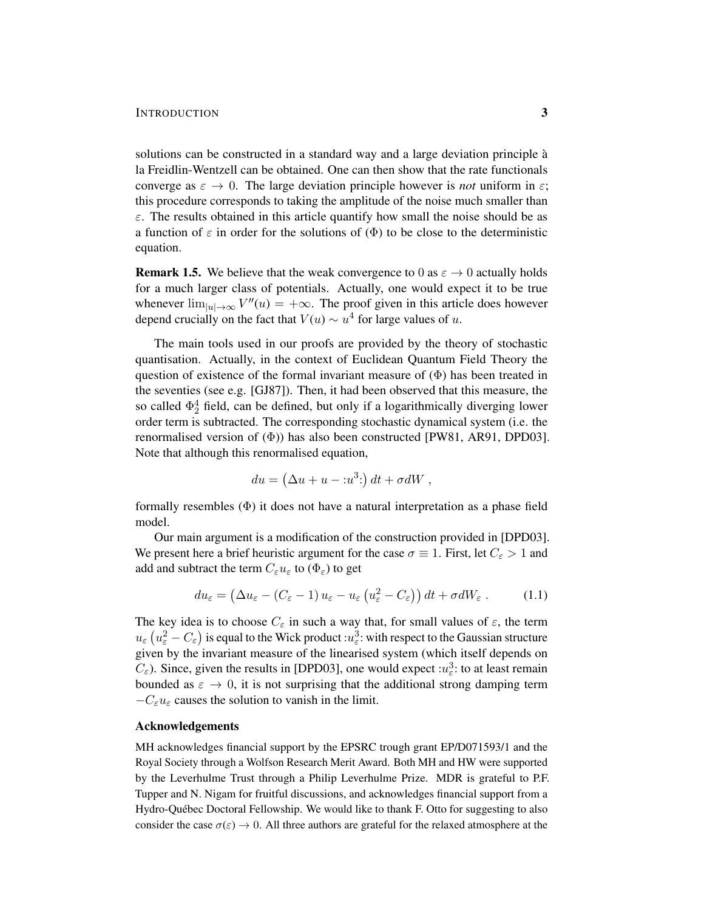solutions can be constructed in a standard way and a large deviation principle a` la Freidlin-Wentzell can be obtained. One can then show that the rate functionals converge as  $\varepsilon \to 0$ . The large deviation principle however is *not* uniform in  $\varepsilon$ ; this procedure corresponds to taking the amplitude of the noise much smaller than  $\varepsilon$ . The results obtained in this article quantify how small the noise should be as a function of  $\varepsilon$  in order for the solutions of  $(\Phi)$  to be close to the deterministic equation.

**Remark 1.5.** We believe that the weak convergence to 0 as  $\varepsilon \to 0$  actually holds for a much larger class of potentials. Actually, one would expect it to be true whenever  $\lim_{|u| \to \infty} V''(u) = +\infty$ . The proof given in this article does however depend crucially on the fact that  $V(u) \sim u^4$  for large values of u.

The main tools used in our proofs are provided by the theory of stochastic quantisation. Actually, in the context of Euclidean Quantum Field Theory the question of existence of the formal invariant measure of  $(\Phi)$  has been treated in the seventies (see e.g. [GJ87]). Then, it had been observed that this measure, the so called  $\Phi_2^4$  field, can be defined, but only if a logarithmically diverging lower order term is subtracted. The corresponding stochastic dynamical system (i.e. the renormalised version of  $(\Phi)$ ) has also been constructed [PW81, AR91, DPD03]. Note that although this renormalised equation,

$$
du = \left(\Delta u + u - :u^{3} \right) dt + \sigma dW ,
$$

formally resembles (Φ) it does not have a natural interpretation as a phase field model.

Our main argument is a modification of the construction provided in [DPD03]. We present here a brief heuristic argument for the case  $\sigma \equiv 1$ . First, let  $C_{\varepsilon} > 1$  and add and subtract the term  $C_{\varepsilon}u_{\varepsilon}$  to  $(\Phi_{\varepsilon})$  to get

$$
du_{\varepsilon} = (\Delta u_{\varepsilon} - (C_{\varepsilon} - 1) u_{\varepsilon} - u_{\varepsilon} (u_{\varepsilon}^2 - C_{\varepsilon})) dt + \sigma dW_{\varepsilon}.
$$
 (1.1)

The key idea is to choose  $C_{\varepsilon}$  in such a way that, for small values of  $\varepsilon$ , the term  $u_\varepsilon \left( u_\varepsilon^2 - C_\varepsilon \right)$  is equal to the Wick product  $: \!\! u_\varepsilon^3 \!\!:$  with respect to the Gaussian structure given by the invariant measure of the linearised system (which itself depends on  $C_{\varepsilon}$ ). Since, given the results in [DPD03], one would expect : $u_{\varepsilon}^3$ : to at least remain bounded as  $\varepsilon \to 0$ , it is not surprising that the additional strong damping term  $-C_{\varepsilon}u_{\varepsilon}$  causes the solution to vanish in the limit.

## Acknowledgements

MH acknowledges financial support by the EPSRC trough grant EP/D071593/1 and the Royal Society through a Wolfson Research Merit Award. Both MH and HW were supported by the Leverhulme Trust through a Philip Leverhulme Prize. MDR is grateful to P.F. Tupper and N. Nigam for fruitful discussions, and acknowledges financial support from a Hydro-Québec Doctoral Fellowship. We would like to thank F. Otto for suggesting to also consider the case  $\sigma(\epsilon) \to 0$ . All three authors are grateful for the relaxed atmosphere at the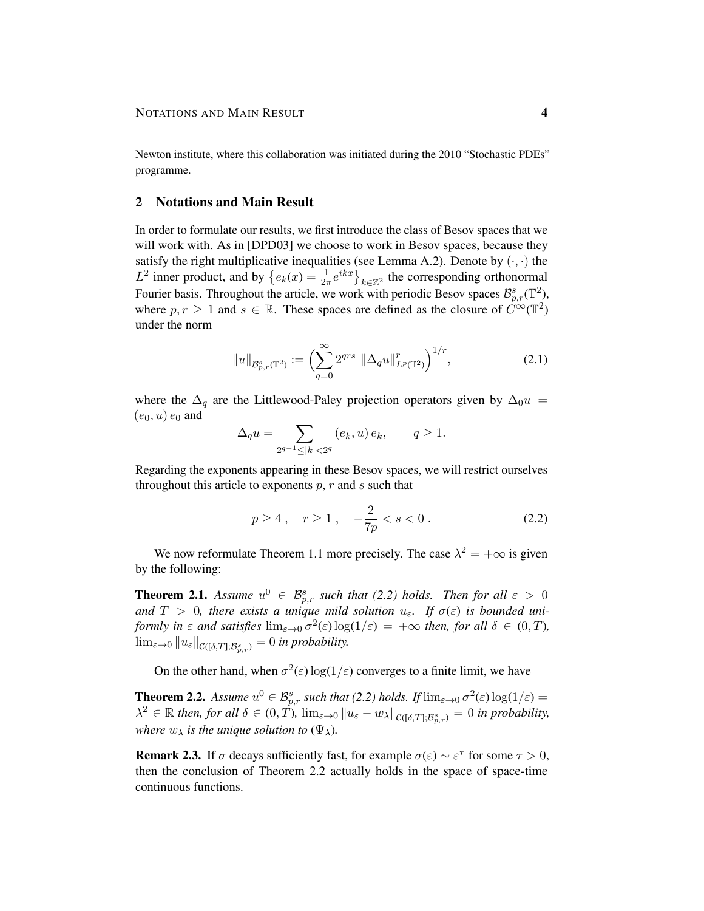Newton institute, where this collaboration was initiated during the 2010 "Stochastic PDEs" programme.

# 2 Notations and Main Result

In order to formulate our results, we first introduce the class of Besov spaces that we will work with. As in [DPD03] we choose to work in Besov spaces, because they satisfy the right multiplicative inequalities (see Lemma A.2). Denote by  $(\cdot, \cdot)$  the  $L^2$  inner product, and by  $\{e_k(x) = \frac{1}{2a}$  $\frac{1}{2\pi}e^{ikx}$   $\}_{k\in\mathbb{Z}^2}$  the corresponding orthonormal Fourier basis. Throughout the article, we work with periodic Besov spaces  $\mathcal{B}_{p,r}^{s}(\mathbb{T}^2)$ , where  $p, r \geq 1$  and  $s \in \mathbb{R}$ . These spaces are defined as the closure of  $\tilde{C}^{\infty}(\mathbb{T}^2)$ under the norm

$$
||u||_{\mathcal{B}_{p,r}^s(\mathbb{T}^2)} := \left(\sum_{q=0}^{\infty} 2^{qrs} ||\Delta_q u||_{L^p(\mathbb{T}^2)}^r\right)^{1/r},\tag{2.1}
$$

where the  $\Delta_q$  are the Littlewood-Paley projection operators given by  $\Delta_0 u =$  $(e_0, u)$   $e_0$  and

$$
\Delta_q u=\sum_{2^{q-1}\leq |k|<2^q} \left(e_k,u\right)e_k,\qquad q\geq 1.
$$

Regarding the exponents appearing in these Besov spaces, we will restrict ourselves throughout this article to exponents  $p, r$  and  $s$  such that

$$
p \ge 4 \,, \quad r \ge 1 \,, \quad -\frac{2}{7p} < s < 0 \,. \tag{2.2}
$$

We now reformulate Theorem 1.1 more precisely. The case  $\lambda^2 = +\infty$  is given by the following:

**Theorem 2.1.** Assume  $u^0 \in \mathcal{B}_{p,r}^s$  such that (2.2) holds. Then for all  $\varepsilon > 0$ and  $T > 0$ , there exists a unique mild solution  $u_{\varepsilon}$ . If  $\sigma(\varepsilon)$  is bounded uni*formly in*  $\varepsilon$  *and satisfies*  $\lim_{\varepsilon \to 0} \sigma^2(\varepsilon) \log(1/\varepsilon) = +\infty$  *then, for all*  $\delta \in (0, T)$ *,*  $\lim_{\varepsilon\to 0} \|u_\varepsilon\|_{\mathcal{C}([\delta,T];\mathcal{B}_{p,r}^s)}=0$  in probability.

On the other hand, when  $\sigma^2(\varepsilon) \log(1/\varepsilon)$  converges to a finite limit, we have

**Theorem 2.2.** Assume  $u^0 \in \mathcal{B}_{p,r}^s$  such that (2.2) holds. If  $\lim_{\varepsilon \to 0} \sigma^2(\varepsilon) \log(1/\varepsilon) =$  $\lambda^2 \in \mathbb{R}$  then, for all  $\delta \in (0, T)$ ,  $\lim_{\varepsilon \to 0} ||u_{\varepsilon} - w_{\lambda}||_{\mathcal{C}([\delta, T]; \mathcal{B}_{p,r}^s)} = 0$  in probability, *where*  $w_{\lambda}$  *is the unique solution to*  $(\Psi_{\lambda})$ *.* 

**Remark 2.3.** If  $\sigma$  decays sufficiently fast, for example  $\sigma(\varepsilon) \sim \varepsilon^{\tau}$  for some  $\tau > 0$ , then the conclusion of Theorem 2.2 actually holds in the space of space-time continuous functions.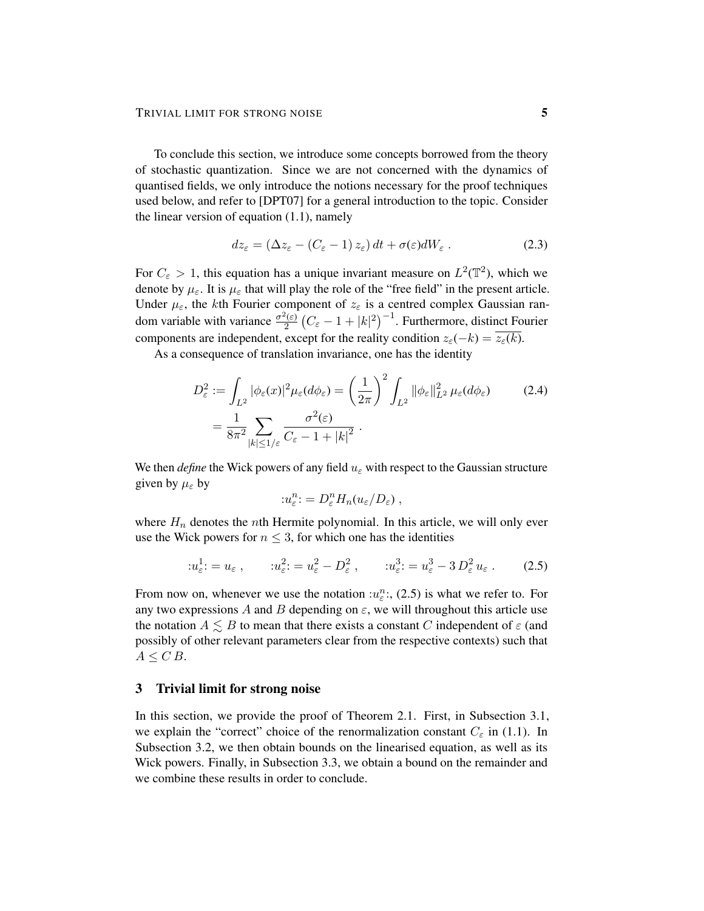To conclude this section, we introduce some concepts borrowed from the theory of stochastic quantization. Since we are not concerned with the dynamics of quantised fields, we only introduce the notions necessary for the proof techniques used below, and refer to [DPT07] for a general introduction to the topic. Consider the linear version of equation (1.1), namely

$$
dz_{\varepsilon} = (\Delta z_{\varepsilon} - (C_{\varepsilon} - 1) z_{\varepsilon}) dt + \sigma(\varepsilon) dW_{\varepsilon} . \tag{2.3}
$$

For  $C_{\varepsilon} > 1$ , this equation has a unique invariant measure on  $L^2(\mathbb{T}^2)$ , which we denote by  $\mu_{\varepsilon}$ . It is  $\mu_{\varepsilon}$  that will play the role of the "free field" in the present article. Under  $\mu_{\varepsilon}$ , the kth Fourier component of  $z_{\varepsilon}$  is a centred complex Gaussian random variable with variance  $\frac{\sigma^2(\varepsilon)}{2}$  $\frac{2(\varepsilon)}{2}\left(C_{\varepsilon}-1+|k|^2\right)^{-1}$ . Furthermore, distinct Fourier components are independent, except for the reality condition  $z_{\varepsilon}(-k) = \overline{z_{\varepsilon}(k)}$ .

As a consequence of translation invariance, one has the identity

$$
D_{\varepsilon}^{2} := \int_{L^{2}} |\phi_{\varepsilon}(x)|^{2} \mu_{\varepsilon}(d\phi_{\varepsilon}) = \left(\frac{1}{2\pi}\right)^{2} \int_{L^{2}} ||\phi_{\varepsilon}||_{L^{2}}^{2} \mu_{\varepsilon}(d\phi_{\varepsilon}) \tag{2.4}
$$

$$
= \frac{1}{8\pi^{2}} \sum_{|k| \le 1/\varepsilon} \frac{\sigma^{2}(\varepsilon)}{C_{\varepsilon} - 1 + |k|^{2}}.
$$

We then *define* the Wick powers of any field  $u_{\varepsilon}$  with respect to the Gaussian structure given by  $\mu_{\varepsilon}$  by

$$
u_{\varepsilon}^{n} = D_{\varepsilon}^{n} H_{n}(u_{\varepsilon}/D_{\varepsilon}),
$$

where  $H_n$  denotes the *n*th Hermite polynomial. In this article, we will only ever use the Wick powers for  $n \leq 3$ , for which one has the identities

$$
u_{\varepsilon}^1 = u_{\varepsilon} , \qquad u_{\varepsilon}^2 = u_{\varepsilon}^2 - D_{\varepsilon}^2 , \qquad u_{\varepsilon}^3 = u_{\varepsilon}^3 - 3 D_{\varepsilon}^2 u_{\varepsilon} . \tag{2.5}
$$

From now on, whenever we use the notation  $:u_{\varepsilon}^n$ : (2.5) is what we refer to. For any two expressions A and B depending on  $\varepsilon$ , we will throughout this article use the notation  $A \lesssim B$  to mean that there exists a constant C independent of  $\varepsilon$  (and possibly of other relevant parameters clear from the respective contexts) such that  $A \leq C B$ .

# 3 Trivial limit for strong noise

In this section, we provide the proof of Theorem 2.1. First, in Subsection 3.1, we explain the "correct" choice of the renormalization constant  $C_{\varepsilon}$  in (1.1). In Subsection 3.2, we then obtain bounds on the linearised equation, as well as its Wick powers. Finally, in Subsection 3.3, we obtain a bound on the remainder and we combine these results in order to conclude.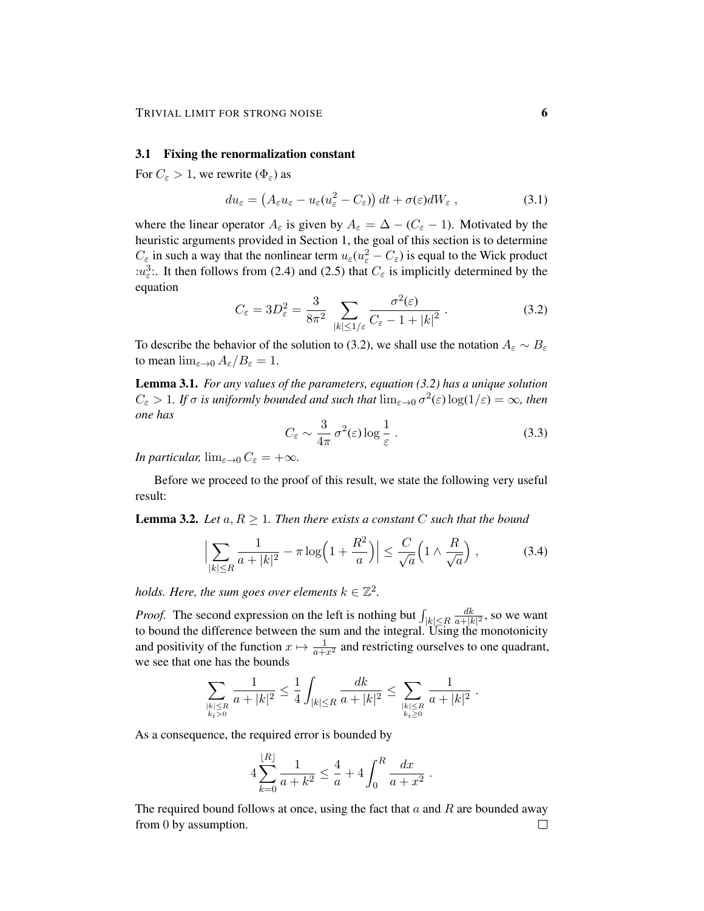#### 3.1 Fixing the renormalization constant

For  $C_{\varepsilon} > 1$ , we rewrite  $(\Phi_{\varepsilon})$  as

$$
du_{\varepsilon} = \left(A_{\varepsilon}u_{\varepsilon} - u_{\varepsilon}(u_{\varepsilon}^2 - C_{\varepsilon})\right)dt + \sigma(\varepsilon)dW_{\varepsilon} , \qquad (3.1)
$$

where the linear operator  $A_{\varepsilon}$  is given by  $A_{\varepsilon} = \Delta - (C_{\varepsilon} - 1)$ . Motivated by the heuristic arguments provided in Section 1, the goal of this section is to determine  $C_{\varepsilon}$  in such a way that the nonlinear term  $u_{\varepsilon}(u_{\varepsilon}^2 - C_{\varepsilon})$  is equal to the Wick product : $u_{\varepsilon}^3$ . It then follows from (2.4) and (2.5) that  $C_{\varepsilon}$  is implicitly determined by the equation

$$
C_{\varepsilon} = 3D_{\varepsilon}^{2} = \frac{3}{8\pi^{2}} \sum_{|k| \le 1/\varepsilon} \frac{\sigma^{2}(\varepsilon)}{C_{\varepsilon} - 1 + |k|^{2}}.
$$
 (3.2)

To describe the behavior of the solution to (3.2), we shall use the notation  $A_\varepsilon \sim B_\varepsilon$ to mean  $\lim_{\varepsilon\to 0} A_{\varepsilon}/B_{\varepsilon} = 1$ .

Lemma 3.1. *For any values of the parameters, equation (3.2) has a unique solution*  $C_{\varepsilon} > 1$ *. If*  $\sigma$  *is uniformly bounded and such that*  $\lim_{\varepsilon \to 0} \sigma^2(\varepsilon) \log(1/\varepsilon) = \infty$ *, then one has*

$$
C_{\varepsilon} \sim \frac{3}{4\pi} \sigma^2(\varepsilon) \log \frac{1}{\varepsilon} \,. \tag{3.3}
$$

*In particular,*  $\lim_{\varepsilon \to 0} C_{\varepsilon} = +\infty$ *.* 

Before we proceed to the proof of this result, we state the following very useful result:

**Lemma 3.2.** Let  $a, R \geq 1$ . Then there exists a constant C such that the bound

$$
\left|\sum_{|k| \le R} \frac{1}{a+|k|^2} - \pi \log\left(1 + \frac{R^2}{a}\right)\right| \le \frac{C}{\sqrt{a}} \left(1 \wedge \frac{R}{\sqrt{a}}\right),\tag{3.4}
$$

*holds. Here, the sum goes over elements*  $k \in \mathbb{Z}^2$ .

*Proof.* The second expression on the left is nothing but  $\int_{|k| \le R}$  $d<sub>k</sub>$  $\frac{dk}{a+|k|^2}$ , so we want to bound the difference between the sum and the integral. Using the monotonicity and positivity of the function  $x \mapsto \frac{1}{a+x^2}$  and restricting ourselves to one quadrant, we see that one has the bounds

$$
\sum_{\substack{|k| \leq R \\ k_i > 0}} \frac{1}{a + |k|^2} \leq \frac{1}{4} \int_{|k| \leq R} \frac{dk}{a + |k|^2} \leq \sum_{\substack{|k| \leq R \\ k_i \geq 0}} \frac{1}{a + |k|^2} \; .
$$

As a consequence, the required error is bounded by

$$
4\sum_{k=0}^{\lfloor R\rfloor} \frac{1}{a+k^2} \le \frac{4}{a} + 4\int_0^R \frac{dx}{a+x^2} .
$$

The required bound follows at once, using the fact that  $a$  and  $R$  are bounded away from 0 by assumption. $\Box$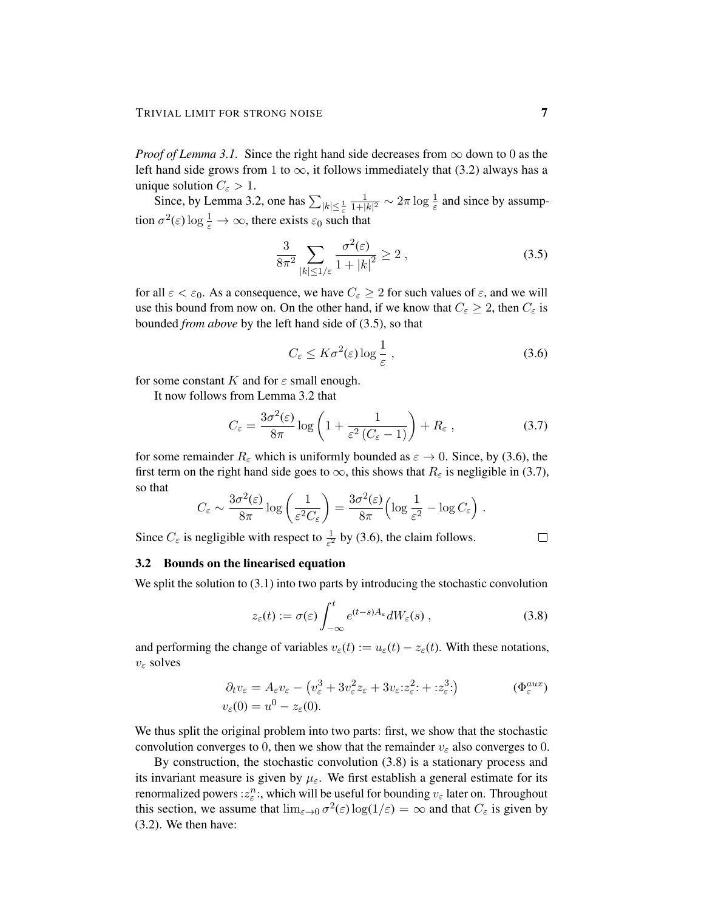*Proof of Lemma 3.1.* Since the right hand side decreases from  $\infty$  down to 0 as the left hand side grows from 1 to  $\infty$ , it follows immediately that (3.2) always has a unique solution  $C_{\varepsilon} > 1$ .

Since, by Lemma 3.2, one has  $\sum_{|k| \leq \frac{1}{\varepsilon}}$ 1  $\frac{1}{1+|k|^2} \sim 2\pi \log \frac{1}{\varepsilon}$  and since by assumption  $\sigma^2(\varepsilon) \log \frac{1}{\varepsilon} \to \infty$ , there exists  $\varepsilon_0$  such that

$$
\frac{3}{8\pi^2} \sum_{|k| \le 1/\varepsilon} \frac{\sigma^2(\varepsilon)}{1+|k|^2} \ge 2 ,\qquad (3.5)
$$

for all  $\varepsilon < \varepsilon_0$ . As a consequence, we have  $C_{\varepsilon} \geq 2$  for such values of  $\varepsilon$ , and we will use this bound from now on. On the other hand, if we know that  $C_{\varepsilon} \geq 2$ , then  $C_{\varepsilon}$  is bounded *from above* by the left hand side of (3.5), so that

$$
C_{\varepsilon} \le K\sigma^2(\varepsilon) \log \frac{1}{\varepsilon},\tag{3.6}
$$

for some constant K and for  $\varepsilon$  small enough.

It now follows from Lemma 3.2 that

$$
C_{\varepsilon} = \frac{3\sigma^2(\varepsilon)}{8\pi} \log \left( 1 + \frac{1}{\varepsilon^2 \left( C_{\varepsilon} - 1 \right)} \right) + R_{\varepsilon} \,, \tag{3.7}
$$

for some remainder  $R_{\varepsilon}$  which is uniformly bounded as  $\varepsilon \to 0$ . Since, by (3.6), the first term on the right hand side goes to  $\infty$ , this shows that  $R_{\varepsilon}$  is negligible in (3.7), so that

$$
C_{\varepsilon} \sim \frac{3\sigma^2(\varepsilon)}{8\pi} \log \left( \frac{1}{\varepsilon^2 C_{\varepsilon}} \right) = \frac{3\sigma^2(\varepsilon)}{8\pi} \left( \log \frac{1}{\varepsilon^2} - \log C_{\varepsilon} \right) .
$$

Since  $C_{\varepsilon}$  is negligible with respect to  $\frac{1}{\varepsilon^2}$  by (3.6), the claim follows.

## $\Box$

### 3.2 Bounds on the linearised equation

We split the solution to  $(3.1)$  into two parts by introducing the stochastic convolution

$$
z_{\varepsilon}(t) := \sigma(\varepsilon) \int_{-\infty}^{t} e^{(t-s)A_{\varepsilon}} dW_{\varepsilon}(s) , \qquad (3.8)
$$

and performing the change of variables  $v_{\varepsilon}(t) := u_{\varepsilon}(t) - z_{\varepsilon}(t)$ . With these notations,  $v_{\varepsilon}$  solves

$$
\partial_t v_{\varepsilon} = A_{\varepsilon} v_{\varepsilon} - (v_{\varepsilon}^3 + 3v_{\varepsilon}^2 z_{\varepsilon} + 3v_{\varepsilon}z_{\varepsilon}^2; + z_{\varepsilon}^3; ) \qquad (\Phi_{\varepsilon}^{aux})
$$
  

$$
v_{\varepsilon}(0) = u^0 - z_{\varepsilon}(0).
$$

We thus split the original problem into two parts: first, we show that the stochastic convolution converges to 0, then we show that the remainder  $v_{\varepsilon}$  also converges to 0.

By construction, the stochastic convolution (3.8) is a stationary process and its invariant measure is given by  $\mu_{\varepsilon}$ . We first establish a general estimate for its renormalized powers : $z_{\varepsilon}^n$ :, which will be useful for bounding  $v_{\varepsilon}$  later on. Throughout this section, we assume that  $\lim_{\varepsilon \to 0} \sigma^2(\varepsilon) \log(1/\varepsilon) = \infty$  and that  $C_{\varepsilon}$  is given by (3.2). We then have: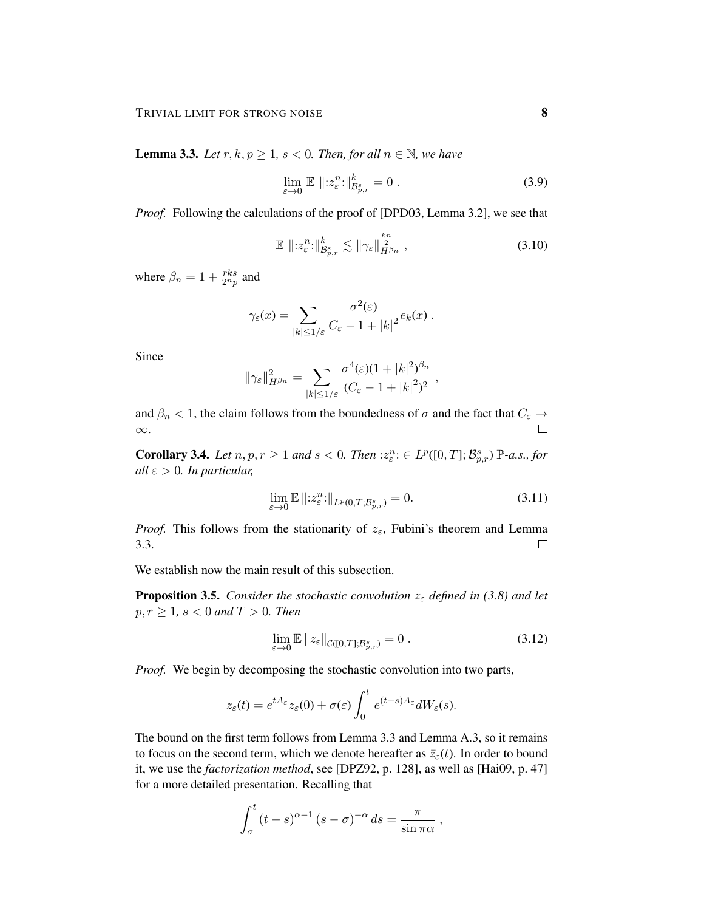**Lemma 3.3.** *Let*  $r, k, p \ge 1$ ,  $s < 0$ . *Then, for all*  $n \in \mathbb{N}$ *, we have* 

$$
\lim_{\varepsilon \to 0} \mathbb{E} \, \|z_{\varepsilon}^n : \|_{\mathcal{B}_{p,r}^s}^k = 0 \,. \tag{3.9}
$$

*Proof.* Following the calculations of the proof of [DPD03, Lemma 3.2], we see that

$$
\mathbb{E} \left\| \, z_{\varepsilon}^{n} \, ; \, \right\|_{\mathcal{B}_{p,r}^{s}} \lesssim \|\gamma_{\varepsilon}\|_{H^{\beta_{n}}}^{\frac{k_{n}}{2}},\tag{3.10}
$$

where  $\beta_n = 1 + \frac{rk s}{2^n p}$  and

$$
\gamma_{\varepsilon}(x) = \sum_{|k| \leq 1/\varepsilon} \frac{\sigma^2(\varepsilon)}{C_{\varepsilon} - 1 + |k|^2} e_k(x) .
$$

Since

$$
\|\gamma_{\varepsilon}\|_{H^{\beta_n}}^2 = \sum_{|k|\leq 1/\varepsilon} \frac{\sigma^4(\varepsilon)(1+|k|^2)^{\beta_n}}{(C_{\varepsilon}-1+|k|^2)^2},
$$

and  $\beta_n < 1$ , the claim follows from the boundedness of  $\sigma$  and the fact that  $C_{\varepsilon} \to$ ∞.  $\Box$ 

**Corollary 3.4.** Let  $n, p, r \geq 1$  and  $s < 0$ . Then  $: z_{\varepsilon}^n : \varepsilon \to L^p([0, T]; \mathcal{B}_{p,r}^s) \mathbb{P}$ -a.s., for  $all \varepsilon > 0$ *. In particular,* 

$$
\lim_{\varepsilon \to 0} \mathbb{E} \left\| z_{\varepsilon}^n : \right\|_{L^p(0,T; \mathcal{B}_{p,r}^s)} = 0. \tag{3.11}
$$

*Proof.* This follows from the stationarity of  $z_{\varepsilon}$ , Fubini's theorem and Lemma 3.3.  $\Box$ 

We establish now the main result of this subsection.

**Proposition 3.5.** *Consider the stochastic convolution*  $z_{\varepsilon}$  *defined in (3.8) and let*  $p, r \geq 1, s < 0 \text{ and } T > 0$ . Then

$$
\lim_{\varepsilon \to 0} \mathbb{E} \left\| z_{\varepsilon} \right\|_{\mathcal{C}([0,T]; \mathcal{B}^s_{p,r})} = 0 \tag{3.12}
$$

*Proof.* We begin by decomposing the stochastic convolution into two parts,

$$
z_{\varepsilon}(t) = e^{tA_{\varepsilon}} z_{\varepsilon}(0) + \sigma(\varepsilon) \int_0^t e^{(t-s)A_{\varepsilon}} dW_{\varepsilon}(s).
$$

The bound on the first term follows from Lemma 3.3 and Lemma A.3, so it remains to focus on the second term, which we denote hereafter as  $\bar{z}_{\epsilon}(t)$ . In order to bound it, we use the *factorization method*, see [DPZ92, p. 128], as well as [Hai09, p. 47] for a more detailed presentation. Recalling that

$$
\int_{\sigma}^{t} (t-s)^{\alpha-1} (s-\sigma)^{-\alpha} ds = \frac{\pi}{\sin \pi \alpha} ,
$$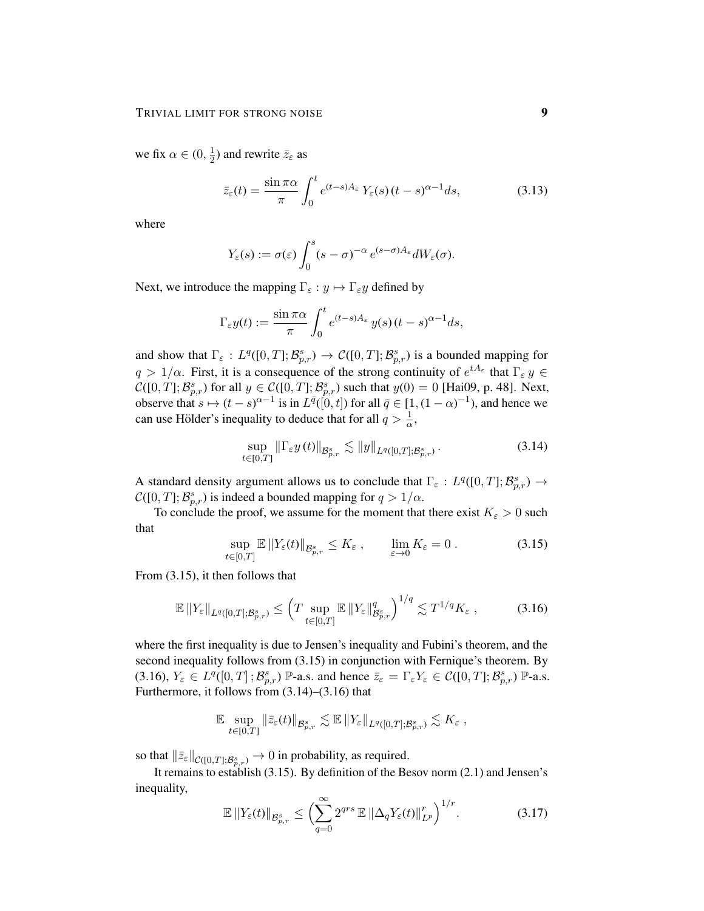we fix  $\alpha \in (0, \frac{1}{2})$  $\frac{1}{2}$ ) and rewrite  $\bar{z}_{\varepsilon}$  as

$$
\bar{z}_{\varepsilon}(t) = \frac{\sin \pi \alpha}{\pi} \int_0^t e^{(t-s)A_{\varepsilon}} Y_{\varepsilon}(s) (t-s)^{\alpha-1} ds, \tag{3.13}
$$

where

$$
Y_{\varepsilon}(s) := \sigma(\varepsilon) \int_0^s (s-\sigma)^{-\alpha} e^{(s-\sigma)A_{\varepsilon}} dW_{\varepsilon}(\sigma).
$$

Next, we introduce the mapping  $\Gamma_{\varepsilon} : y \mapsto \Gamma_{\varepsilon} y$  defined by

$$
\Gamma_{\varepsilon} y(t) := \frac{\sin \pi \alpha}{\pi} \int_0^t e^{(t-s)A_{\varepsilon}} y(s) (t-s)^{\alpha-1} ds,
$$

and show that  $\Gamma_{\varepsilon}: L^q([0,T]; \mathcal{B}_{p,r}^s) \to C([0,T]; \mathcal{B}_{p,r}^s)$  is a bounded mapping for  $q > 1/\alpha$ . First, it is a consequence of the strong continuity of  $e^{tA_{\varepsilon}}$  that  $\Gamma_{\varepsilon} y \in$  $\mathcal{C}([0,T]; \mathcal{B}_{p,r}^s)$  for all  $y \in \mathcal{C}([0,T]; \mathcal{B}_{p,r}^s)$  such that  $y(0) = 0$  [Hai09, p. 48]. Next, observe that  $s \mapsto (t - s)^{\alpha - 1}$  is in  $L^{\bar{q}}([0, t])$  for all  $\bar{q} \in [1, (1 - \alpha)^{-1})$ , and hence we can use Hölder's inequality to deduce that for all  $q > \frac{1}{\alpha}$ ,

$$
\sup_{t \in [0,T]} \|\Gamma_{\varepsilon} y(t)\|_{\mathcal{B}_{p,r}^s} \lesssim \|y\|_{L^q([0,T]; \mathcal{B}_{p,r}^s)}.
$$
\n(3.14)

A standard density argument allows us to conclude that  $\Gamma_{\varepsilon}: L^q([0,T]; \mathcal{B}_{p,r}^s) \to$  $\mathcal{C}([0,T]; \mathcal{B}_{p,r}^s)$  is indeed a bounded mapping for  $q > 1/\alpha$ .

To conclude the proof, we assume for the moment that there exist  $K_{\varepsilon} > 0$  such that

$$
\sup_{t\in[0,T]}\mathbb{E}\left\|Y_{\varepsilon}(t)\right\|_{\mathcal{B}_{p,r}^{s}}\leq K_{\varepsilon},\qquad\lim_{\varepsilon\to 0}K_{\varepsilon}=0.
$$
\n(3.15)

From (3.15), it then follows that

$$
\mathbb{E} \left\|Y_{\varepsilon}\right\|_{L^{q}([0,T];\mathcal{B}_{p,r}^s)} \leq \left(T \sup_{t \in [0,T]} \mathbb{E} \left\|Y_{\varepsilon}\right\|_{\mathcal{B}_{p,r}^s}^q\right)^{1/q} \lesssim T^{1/q} K_{\varepsilon} ,\qquad (3.16)
$$

where the first inequality is due to Jensen's inequality and Fubini's theorem, and the second inequality follows from (3.15) in conjunction with Fernique's theorem. By (3.16),  $Y_{\varepsilon} \in L^{q}([0, T]; \mathcal{B}_{p,r}^{s})$  P-a.s. and hence  $\overline{z}_{\varepsilon} = \Gamma_{\varepsilon} Y_{\varepsilon} \in C([0, T]; \mathcal{B}_{p,r}^{s})$  P-a.s. Furthermore, it follows from (3.14)–(3.16) that

$$
\mathbb{E} \sup_{t \in [0,T]} \|\bar{z}_{\varepsilon}(t)\|_{\mathcal{B}_{p,r}^s} \lesssim \mathbb{E} \left\|Y_{\varepsilon}\right\|_{L^q([0,T];\mathcal{B}_{p,r}^s)} \lesssim K_{\varepsilon} ,
$$

so that  $\|\bar{z}_{\varepsilon}\|_{\mathcal{C}([0,T];\mathcal{B}_{p,r}^s)} \to 0$  in probability, as required.

It remains to establish (3.15). By definition of the Besov norm (2.1) and Jensen's inequality,

$$
\mathbb{E} \left\| Y_{\varepsilon}(t) \right\|_{\mathcal{B}^{s}_{p,r}} \leq \left( \sum_{q=0}^{\infty} 2^{qrs} \mathbb{E} \left\| \Delta_q Y_{\varepsilon}(t) \right\|_{L^p}^r \right)^{1/r} . \tag{3.17}
$$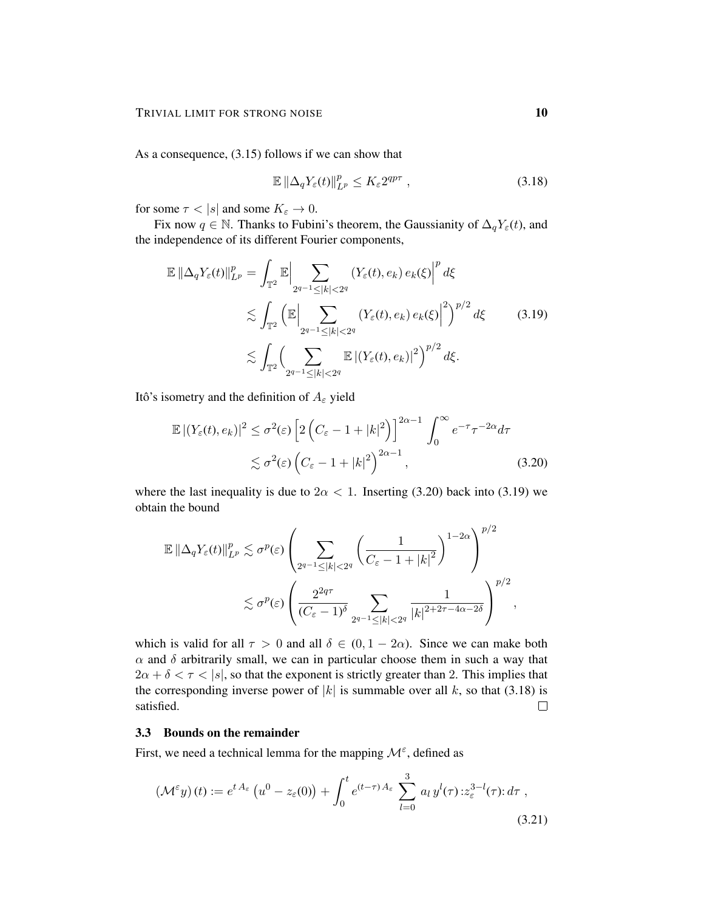As a consequence, (3.15) follows if we can show that

$$
\mathbb{E}\left\|\Delta_q Y_{\varepsilon}(t)\right\|_{L^p}^p \le K_{\varepsilon} 2^{qp\tau} ,\qquad(3.18)
$$

for some  $\tau < |s|$  and some  $K_{\varepsilon} \to 0$ .

Fix now  $q \in \mathbb{N}$ . Thanks to Fubini's theorem, the Gaussianity of  $\Delta_q Y_\varepsilon(t)$ , and the independence of its different Fourier components,

$$
\mathbb{E} \left\| \Delta_q Y_{\varepsilon}(t) \right\|_{L^p}^p = \int_{\mathbb{T}^2} \mathbb{E} \left| \sum_{2^{q-1} \le |k| < 2^q} \left( Y_{\varepsilon}(t), e_k \right) e_k(\xi) \right|^p d\xi
$$
\n
$$
\lesssim \int_{\mathbb{T}^2} \left( \mathbb{E} \left| \sum_{2^{q-1} \le |k| < 2^q} \left( Y_{\varepsilon}(t), e_k \right) e_k(\xi) \right|^2 \right)^{p/2} d\xi \qquad (3.19)
$$
\n
$$
\lesssim \int_{\mathbb{T}^2} \left( \sum_{2^{q-1} \le |k| < 2^q} \mathbb{E} \left| \left( Y_{\varepsilon}(t), e_k \right) \right|^2 \right)^{p/2} d\xi.
$$

Itô's isometry and the definition of  $A_\varepsilon$  yield

$$
\mathbb{E} |(Y_{\varepsilon}(t), e_k)|^2 \leq \sigma^2(\varepsilon) \left[ 2\left(C_{\varepsilon} - 1 + |k|^2\right) \right]^{2\alpha - 1} \int_0^{\infty} e^{-\tau} \tau^{-2\alpha} d\tau
$$
  
 
$$
\lesssim \sigma^2(\varepsilon) \left(C_{\varepsilon} - 1 + |k|^2\right)^{2\alpha - 1}, \tag{3.20}
$$

where the last inequality is due to  $2\alpha < 1$ . Inserting (3.20) back into (3.19) we obtain the bound

$$
\mathbb{E} \left\| \Delta_q Y_{\varepsilon}(t) \right\|_{L^p}^p \lesssim \sigma^p(\varepsilon) \left( \sum_{2^{q-1} \leq |k| < 2^q} \left( \frac{1}{C_{\varepsilon} - 1 + |k|^2} \right)^{1-2\alpha} \right)^{p/2}
$$
\n
$$
\lesssim \sigma^p(\varepsilon) \left( \frac{2^{2q\tau}}{(C_{\varepsilon} - 1)^{\delta}} \sum_{2^{q-1} \leq |k| < 2^q} \frac{1}{|k|^{2+2\tau - 4\alpha - 2\delta}} \right)^{p/2},
$$

which is valid for all  $\tau > 0$  and all  $\delta \in (0, 1 - 2\alpha)$ . Since we can make both  $\alpha$  and  $\delta$  arbitrarily small, we can in particular choose them in such a way that  $2\alpha + \delta < \tau < |s|$ , so that the exponent is strictly greater than 2. This implies that the corresponding inverse power of  $|k|$  is summable over all k, so that (3.18) is satisfied.  $\Box$ 

### 3.3 Bounds on the remainder

First, we need a technical lemma for the mapping  $\mathcal{M}^{\varepsilon}$ , defined as

$$
\left(\mathcal{M}^{\varepsilon}y\right)(t) := e^{tA_{\varepsilon}}\left(u^{0} - z_{\varepsilon}(0)\right) + \int_{0}^{t} e^{(t-\tau)A_{\varepsilon}} \sum_{l=0}^{3} a_{l} y^{l}(\tau) : z_{\varepsilon}^{3-l}(\tau) : d\tau,
$$
\n(3.21)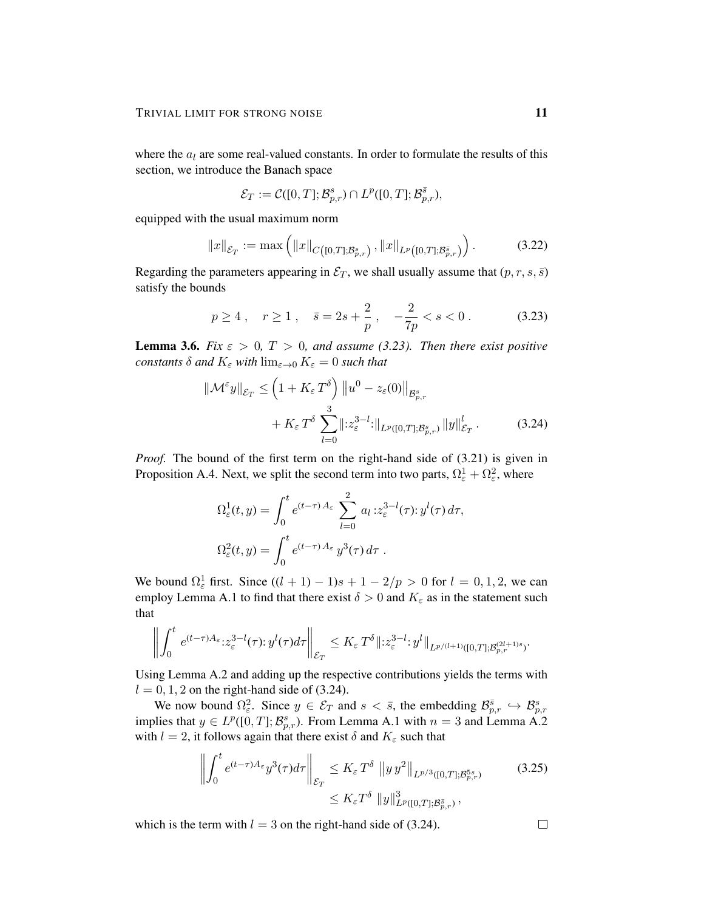where the  $a_l$  are some real-valued constants. In order to formulate the results of this section, we introduce the Banach space

$$
\mathcal{E}_T := \mathcal{C}([0,T];\mathcal{B}_{p,r}^s) \cap L^p([0,T];\mathcal{B}_{p,r}^{\bar{s}}),
$$

equipped with the usual maximum norm

$$
||x||_{\mathcal{E}_T} := \max\left(||x||_{C([0,T];\mathcal{B}_{p,r}^s)}, ||x||_{L^p([0,T];\mathcal{B}_{p,r}^{\bar{s}})}\right).
$$
 (3.22)

Regarding the parameters appearing in  $\mathcal{E}_T$ , we shall usually assume that  $(p, r, s, \overline{s})$ satisfy the bounds

$$
p \ge 4
$$
,  $r \ge 1$ ,  $\bar{s} = 2s + \frac{2}{p}$ ,  $-\frac{2}{7p} < s < 0$ . (3.23)

**Lemma 3.6.** *Fix*  $\varepsilon > 0$ ,  $T > 0$ , and assume (3.23). Then there exist positive *constants*  $\delta$  *and*  $K_{\varepsilon}$  *with*  $\lim_{\varepsilon \to 0} K_{\varepsilon} = 0$  *such that* 

$$
\|\mathcal{M}^{\varepsilon}y\|_{\mathcal{E}_T} \leq \left(1 + K_{\varepsilon} T^{\delta}\right) \|u^0 - z_{\varepsilon}(0)\|_{\mathcal{B}^s_{p,r}} + K_{\varepsilon} T^{\delta} \sum_{l=0}^3 \|z_{\varepsilon}^{3-l} : \|_{L^p([0,T]; \mathcal{B}^s_{p,r})} \|y\|_{\mathcal{E}_T}^l.
$$
 (3.24)

*Proof.* The bound of the first term on the right-hand side of  $(3.21)$  is given in Proposition A.4. Next, we split the second term into two parts,  $\Omega_{\varepsilon}^1 + \Omega_{\varepsilon}^2$ , where

$$
\Omega_{\varepsilon}^{1}(t, y) = \int_{0}^{t} e^{(t-\tau) A_{\varepsilon}} \sum_{l=0}^{2} a_{l} z_{\varepsilon}^{3-l}(\tau) : y^{l}(\tau) d\tau,
$$
  

$$
\Omega_{\varepsilon}^{2}(t, y) = \int_{0}^{t} e^{(t-\tau) A_{\varepsilon}} y^{3}(\tau) d\tau.
$$

We bound  $\Omega_{\varepsilon}^1$  first. Since  $((l + 1) - 1)s + 1 - 2/p > 0$  for  $l = 0, 1, 2$ , we can employ Lemma A.1 to find that there exist  $\delta > 0$  and  $K_{\varepsilon}$  as in the statement such that

$$
\left\| \int_0^t e^{(t-\tau)A_{\varepsilon}} z_{\varepsilon}^{3-l}(\tau) y^l(\tau) d\tau \right\|_{\mathcal{E}_T} \leq K_{\varepsilon} T^{\delta} \|z_{\varepsilon}^{3-l} y^l\|_{L^{p/(l+1)}([0,T];\mathcal{B}_{p,r}^{(2l+1)s})}.
$$

Using Lemma A.2 and adding up the respective contributions yields the terms with  $l = 0, 1, 2$  on the right-hand side of (3.24).

We now bound  $\Omega_{\varepsilon}^2$ . Since  $y \in \mathcal{E}_T$  and  $s < \bar{s}$ , the embedding  $\mathcal{B}_{p,r}^{\bar{s}} \hookrightarrow \mathcal{B}_{p,r}^s$ implies that  $y \in L^p([0,T]; \mathcal{B}_{p,r}^s)$ . From Lemma A.1 with  $n = 3$  and Lemma A.2 with  $l = 2$ , it follows again that there exist  $\delta$  and  $K_{\varepsilon}$  such that

$$
\left\| \int_0^t e^{(t-\tau)A_\varepsilon} y^3(\tau) d\tau \right\|_{\mathcal{E}_T} \le K_\varepsilon T^\delta \left\| y \, y^2 \right\|_{L^{p/3}([0,T]; \mathcal{B}_{p,r}^{5s})}
$$
(3.25)  

$$
\le K_\varepsilon T^\delta \left\| y \right\|_{L^p([0,T]; \mathcal{B}_{p,r}^{\bar{s}})}^3,
$$

which is the term with  $l = 3$  on the right-hand side of (3.24).

 $\Box$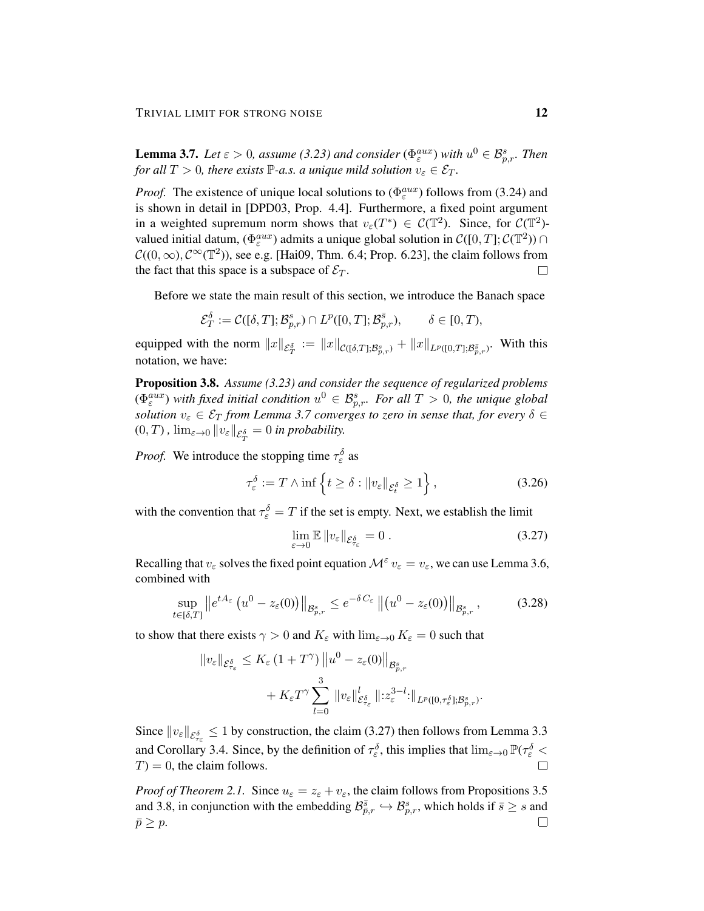**Lemma 3.7.** Let  $\varepsilon > 0$ , assume (3.23) and consider ( $\Phi_{\varepsilon}^{aux}$ ) with  $u^0 \in \mathcal{B}_{p,r}^s$ . Then *for all*  $T > 0$ *, there exists*  $\mathbb{P}$ *-a.s. a unique mild solution*  $v_{\varepsilon} \in \mathcal{E}_T$ *.* 

*Proof.* The existence of unique local solutions to  $(\Phi_{\varepsilon}^{aux})$  follows from (3.24) and is shown in detail in [DPD03, Prop. 4.4]. Furthermore, a fixed point argument in a weighted supremum norm shows that  $v_{\varepsilon}(T^*) \in C(\mathbb{T}^2)$ . Since, for  $C(\mathbb{T}^2)$ valued initial datum,  $(\Phi_{\varepsilon}^{aux})$  admits a unique global solution in  $\mathcal{C}([0,T];\mathcal{C}(\mathbb{T}^2))$  $\mathcal{C}((0,\infty), \mathcal{C}^{\infty}(\mathbb{T}^2))$ , see e.g. [Hai09, Thm. 6.4; Prop. 6.23], the claim follows from the fact that this space is a subspace of  $\mathcal{E}_T$ .  $\Box$ 

Before we state the main result of this section, we introduce the Banach space

$$
\mathcal{E}_T^{\delta} := \mathcal{C}([\delta, T]; \mathcal{B}_{p,r}^s) \cap L^p([0, T]; \mathcal{B}_{p,r}^{\bar{s}}), \qquad \delta \in [0, T),
$$

equipped with the norm  $||x||_{\mathcal{E}^{\delta}_{T}} := ||x||_{\mathcal{C}([\delta,T];\mathcal{B}^s_{p,r})} + ||x||_{L^p([0,T];\mathcal{B}^{\bar{s}}_{p,r})}$ . With this notation, we have:

Proposition 3.8. *Assume (3.23) and consider the sequence of regularized problems*  $(\Phi_{\varepsilon}^{aux})$  with fixed initial condition  $u^0 \in \mathcal{B}_{p,r}^s$ . For all  $T > 0$ , the unique global *solution*  $v_{\varepsilon} \in \mathcal{E}_T$  *from Lemma 3.7 converges to zero in sense that, for every*  $\delta \in$  $(0,T)$  ,  $\lim_{\varepsilon\to 0} \|v_\varepsilon\|_{\mathcal{E}^\delta_T} = 0$  in probability.

*Proof.* We introduce the stopping time  $\tau_{\varepsilon}^{\delta}$  as

$$
\tau_{\varepsilon}^{\delta} := T \wedge \inf \left\{ t \ge \delta : \|v_{\varepsilon}\|_{\mathcal{E}_t^{\delta}} \ge 1 \right\},\tag{3.26}
$$

with the convention that  $\tau_{\varepsilon}^{\delta} = T$  if the set is empty. Next, we establish the limit

$$
\lim_{\varepsilon \to 0} \mathbb{E} \|v_{\varepsilon}\|_{\mathcal{E}_{\tau_{\varepsilon}}^{\delta}} = 0.
$$
\n(3.27)

Recalling that  $v_{\varepsilon}$  solves the fixed point equation  $\mathcal{M}^{\varepsilon} v_{\varepsilon} = v_{\varepsilon}$ , we can use Lemma 3.6, combined with

$$
\sup_{t\in[\delta,T]} \left\|e^{tA_{\varepsilon}}\left(u^{0}-z_{\varepsilon}(0)\right)\right\|_{\mathcal{B}_{p,r}^{s}} \leq e^{-\delta C_{\varepsilon}}\left\|\left(u^{0}-z_{\varepsilon}(0)\right)\right\|_{\mathcal{B}_{p,r}^{s}},\tag{3.28}
$$

to show that there exists  $\gamma > 0$  and  $K_{\varepsilon}$  with  $\lim_{\varepsilon \to 0} K_{\varepsilon} = 0$  such that

$$
||v_{\varepsilon}||_{\mathcal{E}^{\delta}_{\tau_{\varepsilon}}} \leq K_{\varepsilon} (1+T^{\gamma}) ||u^{0}-z_{\varepsilon}(0)||_{\mathcal{B}^{s}_{p,r}} + K_{\varepsilon}T^{\gamma} \sum_{l=0}^{3} ||v_{\varepsilon}||_{\mathcal{E}^{\delta}_{\tau_{\varepsilon}}}^{l} ||z^{3-l}_{\varepsilon}||_{L^{p}([0,\tau^{\delta}_{\varepsilon}];\mathcal{B}^{s}_{p,r})}.
$$

Since  $||v_{\varepsilon}||_{\mathcal{E}_{\tau_{\varepsilon}}^{\delta}} \le 1$  by construction, the claim (3.27) then follows from Lemma 3.3 and Corollary 3.4. Since, by the definition of  $\tau_\varepsilon^{\delta}$ , this implies that  $\lim_{\varepsilon\to 0} \mathbb{P}(\tau_\varepsilon^{\delta}$  $T$ ) = 0, the claim follows.

*Proof of Theorem 2.1.* Since  $u_{\varepsilon} = z_{\varepsilon} + v_{\varepsilon}$ , the claim follows from Propositions 3.5 and 3.8, in conjunction with the embedding  $\mathcal{B}_{\bar{p},r}^{\bar{s}} \hookrightarrow \mathcal{B}_{p,r}^s$ , which holds if  $\bar{s} \geq s$  and  $\Box$  $\bar{p} \geq p$ .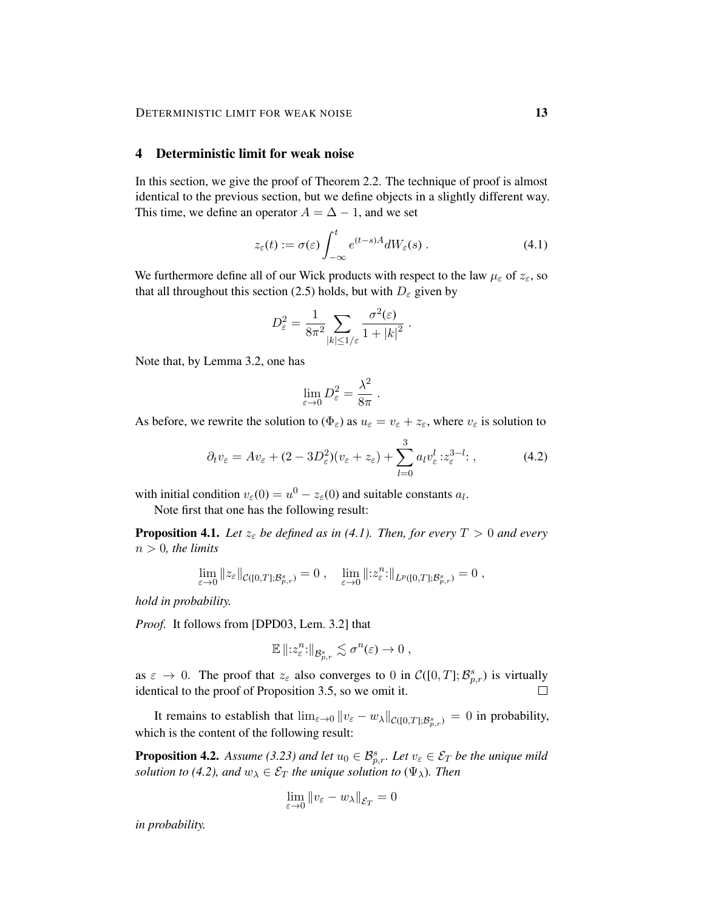# 4 Deterministic limit for weak noise

In this section, we give the proof of Theorem 2.2. The technique of proof is almost identical to the previous section, but we define objects in a slightly different way. This time, we define an operator  $A = \Delta - 1$ , and we set

$$
z_{\varepsilon}(t) := \sigma(\varepsilon) \int_{-\infty}^{t} e^{(t-s)A} dW_{\varepsilon}(s) . \tag{4.1}
$$

We furthermore define all of our Wick products with respect to the law  $\mu_{\varepsilon}$  of  $z_{\varepsilon}$ , so that all throughout this section (2.5) holds, but with  $D_{\varepsilon}$  given by

$$
D_{\varepsilon}^{2} = \frac{1}{8\pi^{2}} \sum_{|k| \leq 1/\varepsilon} \frac{\sigma^{2}(\varepsilon)}{1 + |k|^{2}}.
$$

Note that, by Lemma 3.2, one has

$$
\lim_{\varepsilon \to 0} D_{\varepsilon}^2 = \frac{\lambda^2}{8\pi} .
$$

As before, we rewrite the solution to  $(\Phi_{\varepsilon})$  as  $u_{\varepsilon} = v_{\varepsilon} + z_{\varepsilon}$ , where  $v_{\varepsilon}$  is solution to

$$
\partial_t v_{\varepsilon} = A v_{\varepsilon} + (2 - 3D_{\varepsilon}^2)(v_{\varepsilon} + z_{\varepsilon}) + \sum_{l=0}^3 a_l v_{\varepsilon}^l : z_{\varepsilon}^{3-l}: , \qquad (4.2)
$$

with initial condition  $v_{\varepsilon}(0) = u^0 - z_{\varepsilon}(0)$  and suitable constants  $a_l$ .

Note first that one has the following result:

**Proposition 4.1.** Let  $z_{\varepsilon}$  be defined as in (4.1). Then, for every  $T > 0$  and every  $n > 0$ , the limits

$$
\lim_{\varepsilon \to 0} ||z_{\varepsilon}||_{\mathcal{C}([0,T]; \mathcal{B}_{p,r}^s)} = 0 , \quad \lim_{\varepsilon \to 0} ||z_{\varepsilon}^n:||_{L^p([0,T]; \mathcal{B}_{p,r}^s)} = 0 ,
$$

*hold in probability.*

*Proof.* It follows from [DPD03, Lem. 3.2] that

$$
\mathbb{E}\left\|z_{\varepsilon}^{n}:\right\|_{\mathcal{B}^{s}_{p,r}}\lesssim \sigma^{n}(\varepsilon)\to 0,
$$

as  $\varepsilon \to 0$ . The proof that  $z_{\varepsilon}$  also converges to 0 in  $\mathcal{C}([0,T]; \mathcal{B}_{p,r}^s)$  is virtually identical to the proof of Proposition 3.5, so we omit it.

It remains to establish that  $\lim_{\varepsilon \to 0} ||v_{\varepsilon} - w_{\lambda}||_{\mathcal{C}([0,T]; \mathcal{B}_{p,r}^s)} = 0$  in probability, which is the content of the following result:

**Proposition 4.2.** Assume (3.23) and let  $u_0 \in \mathcal{B}_{p,r}^s$ . Let  $v_{\varepsilon} \in \mathcal{E}_T$  be the unique mild *solution to (4.2), and*  $w_{\lambda} \in \mathcal{E}_T$  *the unique solution to*  $(\Psi_{\lambda})$ *. Then* 

$$
\lim_{\varepsilon\to 0}\|v_\varepsilon-w_\lambda\|_{\mathcal{E}_T}=0
$$

*in probability.*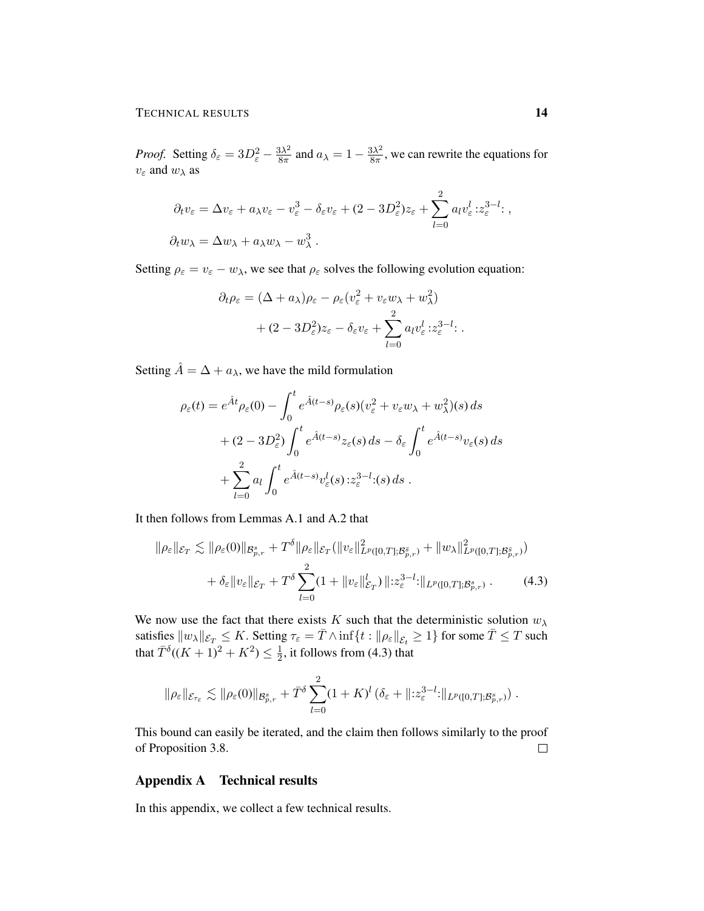*Proof.* Setting  $\delta_{\varepsilon} = 3D_{\varepsilon}^2 - \frac{3\lambda^2}{8\pi}$  $\frac{3\lambda^2}{8\pi}$  and  $a_{\lambda} = 1 - \frac{3\lambda^2}{8\pi}$  $\frac{3\lambda^2}{8\pi}$ , we can rewrite the equations for  $v_{\varepsilon}$  and  $w_{\lambda}$  as

$$
\partial_t v_{\varepsilon} = \Delta v_{\varepsilon} + a_{\lambda} v_{\varepsilon} - v_{\varepsilon}^3 - \delta_{\varepsilon} v_{\varepsilon} + (2 - 3D_{\varepsilon}^2) z_{\varepsilon} + \sum_{l=0}^2 a_l v_{\varepsilon}^l : z_{\varepsilon}^{3-l} ;
$$
  

$$
\partial_t w_{\lambda} = \Delta w_{\lambda} + a_{\lambda} w_{\lambda} - w_{\lambda}^3.
$$

Setting  $\rho_{\varepsilon} = v_{\varepsilon} - w_{\lambda}$ , we see that  $\rho_{\varepsilon}$  solves the following evolution equation:

$$
\partial_t \rho_{\varepsilon} = (\Delta + a_{\lambda}) \rho_{\varepsilon} - \rho_{\varepsilon} (v_{\varepsilon}^2 + v_{\varepsilon} w_{\lambda} + w_{\lambda}^2) + (2 - 3D_{\varepsilon}^2) z_{\varepsilon} - \delta_{\varepsilon} v_{\varepsilon} + \sum_{l=0}^2 a_l v_{\varepsilon}^l : z_{\varepsilon}^{3-l}.
$$

Setting  $\hat{A} = \Delta + a_{\lambda}$ , we have the mild formulation

$$
\rho_{\varepsilon}(t) = e^{\hat{A}t} \rho_{\varepsilon}(0) - \int_0^t e^{\hat{A}(t-s)} \rho_{\varepsilon}(s) (v_{\varepsilon}^2 + v_{\varepsilon} w_{\lambda} + w_{\lambda}^2)(s) ds
$$
  
+ 
$$
(2 - 3D_{\varepsilon}^2) \int_0^t e^{\hat{A}(t-s)} z_{\varepsilon}(s) ds - \delta_{\varepsilon} \int_0^t e^{\hat{A}(t-s)} v_{\varepsilon}(s) ds
$$
  
+ 
$$
\sum_{l=0}^2 a_l \int_0^t e^{\hat{A}(t-s)} v_{\varepsilon}^l(s) z_{\varepsilon}^{3-l} (s) ds.
$$

It then follows from Lemmas A.1 and A.2 that

$$
\|\rho_{\varepsilon}\|_{\mathcal{E}_T} \lesssim \|\rho_{\varepsilon}(0)\|_{\mathcal{B}_{p,r}^s} + T^{\delta} \|\rho_{\varepsilon}\|_{\mathcal{E}_T} (\|v_{\varepsilon}\|_{L^p([0,T];\mathcal{B}_{p,r}^{\bar{s}})}^2 + \|w_{\lambda}\|_{L^p([0,T];\mathcal{B}_{p,r}^{\bar{s}})}^2) + \delta_{\varepsilon} \|v_{\varepsilon}\|_{\mathcal{E}_T} + T^{\delta} \sum_{l=0}^2 (1 + \|v_{\varepsilon}\|_{\mathcal{E}_T}^l) \|: z_{\varepsilon}^{3-l} : \|_{L^p([0,T];\mathcal{B}_{p,r}^s)} .
$$
 (4.3)

We now use the fact that there exists K such that the deterministic solution  $w_{\lambda}$ satisfies  $\|w_\lambda\|_{\mathcal{E}_T}\leq K.$  Setting  $\tau_\varepsilon=\bar{T}\wedge\inf\{t: \|\rho_\varepsilon\|_{\mathcal{E}_t}\geq 1\}$  for some  $\bar{T}\leq T$  such that  $\bar{T}^{\delta}((K+1)^2 + K^2) \leq \frac{1}{2}$  $\frac{1}{2}$ , it follows from (4.3) that

$$
\|\rho_{\varepsilon}\|_{\mathcal{E}_{\tau_{\varepsilon}}} \lesssim \|\rho_{\varepsilon}(0)\|_{\mathcal{B}_{p,r}^s} + \bar{T}^{\delta} \sum_{l=0}^2 (1+K)^l \left(\delta_{\varepsilon} + \|z_{\varepsilon}^{3-l}:\|_{L^p([0,T];\mathcal{B}_{p,r}^s)}\right).
$$

This bound can easily be iterated, and the claim then follows similarly to the proof of Proposition 3.8.  $\Box$ 

## Appendix A Technical results

In this appendix, we collect a few technical results.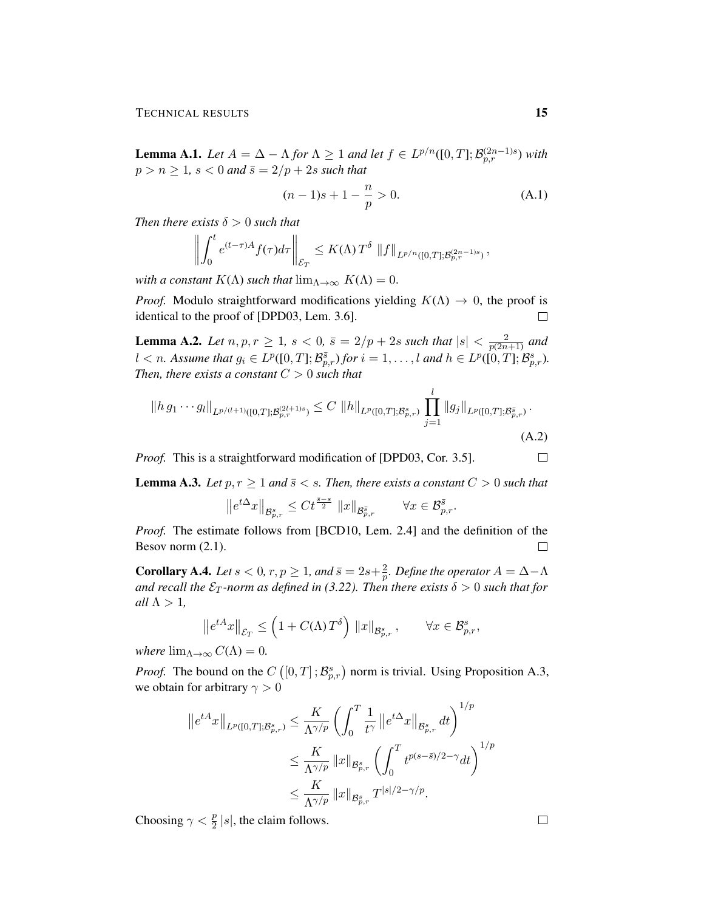**Lemma A.1.** *Let*  $A = \Delta - \Lambda$  *for*  $\Lambda \geq 1$  *and let*  $f \in L^{p/n}([0, T]; \mathcal{B}_{p,r}^{(2n-1)s})$  *with*  $p > n \ge 1$ ,  $s < 0$  and  $\bar{s} = 2/p + 2s$  such that

$$
(n-1)s + 1 - \frac{n}{p} > 0.
$$
 (A.1)

*Then there exists*  $\delta > 0$  *such that* 

$$
\left\| \int_0^t e^{(t-\tau)A} f(\tau) d\tau \right\|_{\mathcal{E}_T} \leq K(\Lambda) T^{\delta} \left\| f \right\|_{L^{p/n}([0,T];\mathcal{B}_{p,r}^{(2n-1)s})},
$$

*with a constant*  $K(\Lambda)$  *such that*  $\lim_{\Lambda \to \infty} K(\Lambda) = 0$ .

*Proof.* Modulo straightforward modifications yielding  $K(\Lambda) \rightarrow 0$ , the proof is identical to the proof of [DPD03, Lem. 3.6].  $\Box$ 

**Lemma A.2.** Let  $n, p, r \geq 1$ ,  $s < 0$ ,  $\bar{s} = 2/p + 2s$  such that  $|s| < \frac{2}{n(2n)}$  $\frac{2}{p(2n+1)}$  and  $l < n$ . Assume that  $g_i \in L^p([0, T]; \mathcal{B}_{p,r}^{\bar{s}})$  for  $i = 1, \ldots, l$  and  $h \in L^p([0, T]; \mathcal{B}_{p,r}^s)$ . *Then, there exists a constant*  $C > 0$  *such that* 

$$
||hg_1 \cdots g_l||_{L^{p/(l+1)}([0,T];\mathcal{B}_{p,r}^{(2l+1)s})} \leq C ||h||_{L^p([0,T];\mathcal{B}_{p,r}^s)} \prod_{j=1}^l ||g_j||_{L^p([0,T];\mathcal{B}_{p,r}^{\bar{s}})}.
$$
\n(A.2)

*Proof.* This is a straightforward modification of [DPD03, Cor. 3.5].

**Lemma A.3.** Let  $p, r \geq 1$  and  $\bar{s} < s$ . Then, there exists a constant  $C > 0$  such that

$$
\left\|e^{t\Delta}x\right\|_{\mathcal{B}^{s}_{p,r}}\leq C t^{\frac{\bar{s}-s}{2}}\ \left\|x\right\|_{\mathcal{B}^{\bar{s}}_{p,r}}\qquad\forall x\in \mathcal{B}^{\bar{s}}_{p,r}.
$$

*Proof.* The estimate follows from [BCD10, Lem. 2.4] and the definition of the Besov norm (2.1).  $\Box$ 

**Corollary A.4.** Let  $s < 0$ ,  $r, p \ge 1$ , and  $\bar{s} = 2s + \frac{2}{n}$  $\frac{2}{p}.$  Define the operator  $A=\Delta{-}\Lambda$ *and recall the*  $\mathcal{E}_T$ *-norm as defined in* (3.22). Then there exists  $\delta > 0$  such that for *all*  $\Lambda > 1$ ,

$$
\left\|e^{tA}x\right\|_{\mathcal{E}_T} \le \left(1 + C(\Lambda)T^{\delta}\right) \left\|x\right\|_{\mathcal{B}^s_{p,r}}, \qquad \forall x \in \mathcal{B}^s_{p,r},
$$

*where*  $\lim_{\Lambda \to \infty} C(\Lambda) = 0$ .

*Proof.* The bound on the  $C([0,T]; \mathcal{B}_{p,r}^s)$  norm is trivial. Using Proposition A.3, we obtain for arbitrary  $\gamma > 0$ 

$$
\begin{split} \left\|e^{tA}x\right\|_{L^p([0,T];\mathcal{B}_{p,r}^s)} &\leq \frac{K}{\Lambda^{\gamma/p}}\left(\int_0^T\frac{1}{t^\gamma}\left\|e^{t\Delta}x\right\|_{\mathcal{B}_{p,r}^s}dt\right)^{1/p} \\ &\leq \frac{K}{\Lambda^{\gamma/p}}\left\|x\right\|_{\mathcal{B}_{p,r}^s}\left(\int_0^T t^{p(s-\bar{s})/2-\gamma}dt\right)^{1/p} \\ &\leq \frac{K}{\Lambda^{\gamma/p}}\left\|x\right\|_{\mathcal{B}_{p,r}^s}T^{|s|/2-\gamma/p}. \end{split}
$$

Choosing  $\gamma < \frac{p}{2} |s|$ , the claim follows.

 $\Box$ 

 $\Box$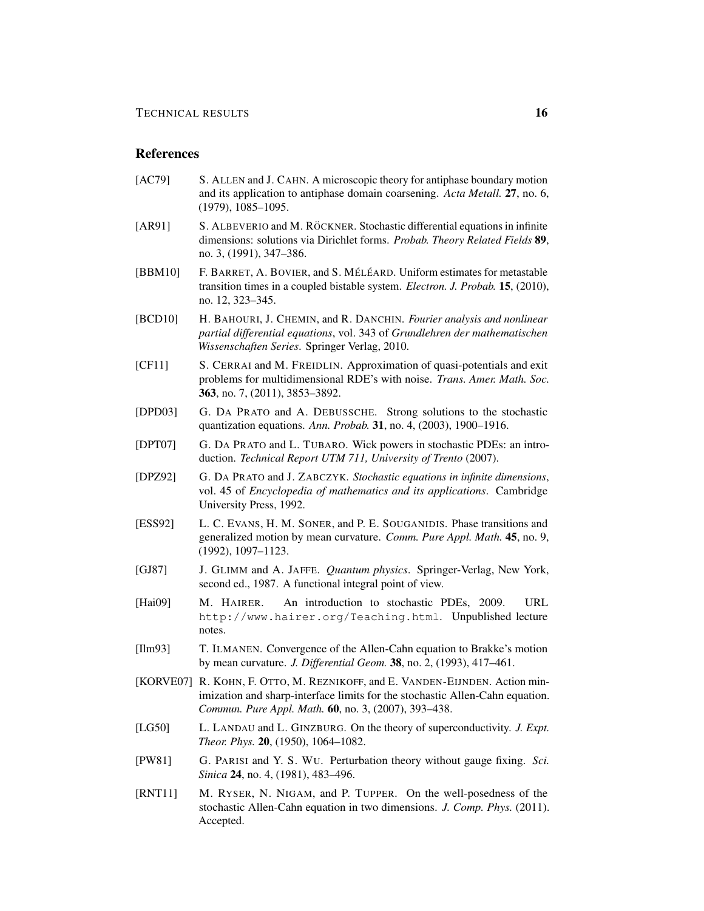### References

- [AC79] S. ALLEN and J. CAHN. A microscopic theory for antiphase boundary motion and its application to antiphase domain coarsening. *Acta Metall.* 27, no. 6, (1979), 1085–1095.
- [AR91] S. ALBEVERIO and M. RÖCKNER. Stochastic differential equations in infinite dimensions: solutions via Dirichlet forms. *Probab. Theory Related Fields* 89, no. 3, (1991), 347–386.
- [BBM10] F. BARRET, A. BOVIER, and S. MÉLÉARD. Uniform estimates for metastable transition times in a coupled bistable system. *Electron. J. Probab.* 15, (2010), no. 12, 323–345.
- [BCD10] H. BAHOURI, J. CHEMIN, and R. DANCHIN. *Fourier analysis and nonlinear partial differential equations*, vol. 343 of *Grundlehren der mathematischen Wissenschaften Series*. Springer Verlag, 2010.
- [CF11] S. CERRAI and M. FREIDLIN. Approximation of quasi-potentials and exit problems for multidimensional RDE's with noise. *Trans. Amer. Math. Soc.* 363, no. 7, (2011), 3853–3892.
- [DPD03] G. DA PRATO and A. DEBUSSCHE. Strong solutions to the stochastic quantization equations. *Ann. Probab.* 31, no. 4, (2003), 1900–1916.
- [DPT07] G. DA PRATO and L. TUBARO. Wick powers in stochastic PDEs: an introduction. *Technical Report UTM 711, University of Trento* (2007).
- [DPZ92] G. DA PRATO and J. ZABCZYK. *Stochastic equations in infinite dimensions*, vol. 45 of *Encyclopedia of mathematics and its applications*. Cambridge University Press, 1992.
- [ESS92] L. C. EVANS, H. M. SONER, and P. E. SOUGANIDIS. Phase transitions and generalized motion by mean curvature. *Comm. Pure Appl. Math.* 45, no. 9, (1992), 1097–1123.
- [GJ87] J. GLIMM and A. JAFFE. *Quantum physics*. Springer-Verlag, New York, second ed., 1987. A functional integral point of view.
- [Hai09] M. HAIRER. An introduction to stochastic PDEs, 2009. URL http://www.hairer.org/Teaching.html. Unpublished lecture notes.
- [Ilm93] T. ILMANEN. Convergence of the Allen-Cahn equation to Brakke's motion by mean curvature. *J. Differential Geom.* 38, no. 2, (1993), 417–461.
- [KORVE07] R. KOHN, F. OTTO, M. REZNIKOFF, and E. VANDEN-EIJNDEN. Action minimization and sharp-interface limits for the stochastic Allen-Cahn equation. *Commun. Pure Appl. Math.* 60, no. 3, (2007), 393–438.
- [LG50] L. LANDAU and L. GINZBURG. On the theory of superconductivity. *J. Expt. Theor. Phys.* 20, (1950), 1064–1082.
- [PW81] G. PARISI and Y. S. WU. Perturbation theory without gauge fixing. *Sci. Sinica* **24**, no. 4, (1981), 483-496.
- [RNT11] M. RYSER, N. NIGAM, and P. TUPPER. On the well-posedness of the stochastic Allen-Cahn equation in two dimensions. *J. Comp. Phys.* (2011). Accepted.